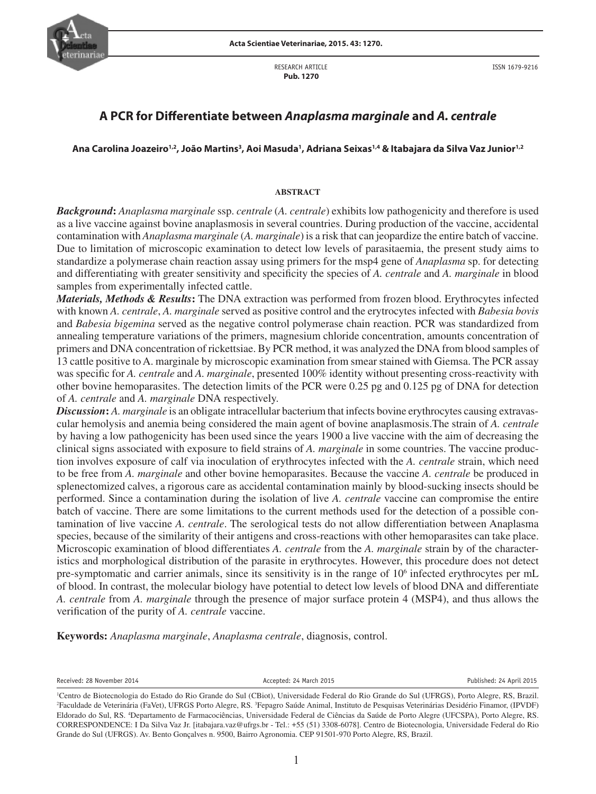

RESEARCH ARTICLE  **Pub. 1270**

ISSN 1679-9216

# **A PCR for Differentiate between** *Anaplasma marginale* **and** *A. centrale*

# Ana Carolina Joazeiro<sup>1,2</sup>, João Martins<sup>3</sup>, Aoi Masuda<sup>1</sup>, Adriana Seixas<sup>1,4</sup> & Itabajara da Silva Vaz Junior<sup>1,2</sup>

# **ABSTRACT**

*Background***:** *Anaplasma marginale* ssp. *centrale* (*A. centrale*) exhibits low pathogenicity and therefore is used as a live vaccine against bovine anaplasmosis in several countries. During production of the vaccine, accidental contamination with *Anaplasma marginale* (*A. marginale*) is a risk that can jeopardize the entire batch of vaccine. Due to limitation of microscopic examination to detect low levels of parasitaemia, the present study aims to standardize a polymerase chain reaction assay using primers for the msp4 gene of *Anaplasma* sp. for detecting and differentiating with greater sensitivity and specificity the species of *A. centrale* and *A. marginale* in blood samples from experimentally infected cattle.

*Materials, Methods & Results***:** The DNA extraction was performed from frozen blood. Erythrocytes infected with known *A. centrale*, *A. marginale* served as positive control and the erytrocytes infected with *Babesia bovis* and *Babesia bigemina* served as the negative control polymerase chain reaction. PCR was standardized from annealing temperature variations of the primers, magnesium chloride concentration, amounts concentration of primers and DNA concentration of rickettsiae. By PCR method, it was analyzed the DNA from blood samples of 13 cattle positive to A. marginale by microscopic examination from smear stained with Giemsa. The PCR assay was specific for *A. centrale* and *A. marginale*, presented 100% identity without presenting cross-reactivity with other bovine hemoparasites. The detection limits of the PCR were 0.25 pg and 0.125 pg of DNA for detection of *A. centrale* and *A. marginale* DNA respectively.

*Discussion***:** *A. marginale* is an obligate intracellular bacterium that infects bovine erythrocytes causing extravascular hemolysis and anemia being considered the main agent of bovine anaplasmosis.The strain of *A. centrale* by having a low pathogenicity has been used since the years 1900 a live vaccine with the aim of decreasing the clinical signs associated with exposure to field strains of *A. marginale* in some countries. The vaccine production involves exposure of calf via inoculation of erythrocytes infected with the *A. centrale* strain, which need to be free from *A. marginale* and other bovine hemoparasites. Because the vaccine *A. centrale* be produced in splenectomized calves, a rigorous care as accidental contamination mainly by blood-sucking insects should be performed. Since a contamination during the isolation of live *A. centrale* vaccine can compromise the entire batch of vaccine. There are some limitations to the current methods used for the detection of a possible contamination of live vaccine *A. centrale*. The serological tests do not allow differentiation between Anaplasma species, because of the similarity of their antigens and cross-reactions with other hemoparasites can take place. Microscopic examination of blood differentiates *A. centrale* from the *A. marginale* strain by of the characteristics and morphological distribution of the parasite in erythrocytes. However, this procedure does not detect pre-symptomatic and carrier animals, since its sensitivity is in the range of 10<sup>6</sup> infected erythrocytes per mL of blood. In contrast, the molecular biology have potential to detect low levels of blood DNA and differentiate *A. centrale* from *A. marginale* through the presence of major surface protein 4 (MSP4), and thus allows the verification of the purity of *A. centrale* vaccine.

**Keywords:** *Anaplasma marginale*, *Anaplasma centrale*, diagnosis, control.

Received: 28 November 2014 Accepted: 24 March 2015 Published: 24 April 2015

<sup>1</sup> Centro de Biotecnologia do Estado do Rio Grande do Sul (CBiot), Universidade Federal do Rio Grande do Sul (UFRGS), Porto Alegre, RS, Brazil. 2 Faculdade de Veterinária (FaVet), UFRGS Porto Alegre, RS. 3 Fepagro Saúde Animal, Instituto de Pesquisas Veterinárias Desidério Finamor, (IPVDF) Eldorado do Sul, RS. 4 Departamento de Farmacociências, Universidade Federal de Ciências da Saúde de Porto Alegre (UFCSPA), Porto Alegre, RS. CORRESPONDENCE: I Da Silva Vaz Jr. [itabajara.vaz@ufrgs.br - Tel.: +55 (51) 3308-6078]. Centro de Biotecnologia, Universidade Federal do Rio Grande do Sul (UFRGS). Av. Bento Gonçalves n. 9500, Bairro Agronomia. CEP 91501-970 Porto Alegre, RS, Brazil.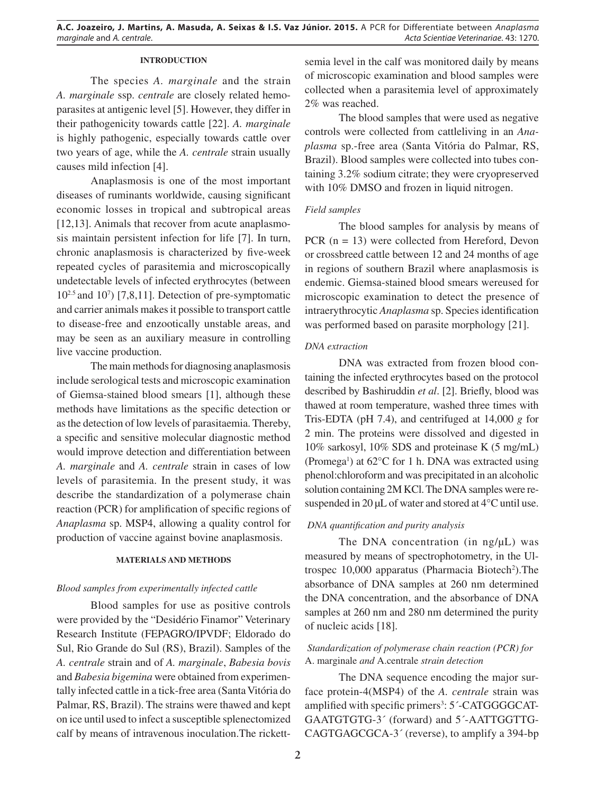# **INTRODUCTION**

The species *A. marginale* and the strain *A. marginale* ssp. *centrale* are closely related hemoparasites at antigenic level [5]. However, they differ in their pathogenicity towards cattle [22]. *A. marginale* is highly pathogenic, especially towards cattle over two years of age, while the *A. centrale* strain usually causes mild infection [4].

Anaplasmosis is one of the most important diseases of ruminants worldwide, causing significant economic losses in tropical and subtropical areas [12,13]. Animals that recover from acute anaplasmosis maintain persistent infection for life [7]. In turn, chronic anaplasmosis is characterized by five-week repeated cycles of parasitemia and microscopically undetectable levels of infected erythrocytes (between 102.5 and 107 ) [7,8,11]. Detection of pre-symptomatic and carrier animals makes it possible to transport cattle to disease-free and enzootically unstable areas, and may be seen as an auxiliary measure in controlling live vaccine production.

The main methods for diagnosing anaplasmosis include serological tests and microscopic examination of Giemsa-stained blood smears [1], although these methods have limitations as the specific detection or as the detection of low levels of parasitaemia. Thereby, a specific and sensitive molecular diagnostic method would improve detection and differentiation between *A. marginale* and *A. centrale* strain in cases of low levels of parasitemia. In the present study, it was describe the standardization of a polymerase chain reaction (PCR) for amplification of specific regions of *Anaplasma* sp. MSP4, allowing a quality control for production of vaccine against bovine anaplasmosis.

### **MATERIALS AND METHODS**

### *Blood samples from experimentally infected cattle*

Blood samples for use as positive controls were provided by the "Desidério Finamor" Veterinary Research Institute (FEPAGRO/IPVDF; Eldorado do Sul, Rio Grande do Sul (RS), Brazil). Samples of the *A. centrale* strain and of *A. marginale*, *Babesia bovis* and *Babesia bigemina* were obtained from experimentally infected cattle in a tick-free area (Santa Vitória do Palmar, RS, Brazil). The strains were thawed and kept on ice until used to infect a susceptible splenectomized calf by means of intravenous inoculation.The rickettsemia level in the calf was monitored daily by means of microscopic examination and blood samples were collected when a parasitemia level of approximately 2% was reached.

The blood samples that were used as negative controls were collected from cattleliving in an *Anaplasma* sp.-free area (Santa Vitória do Palmar, RS, Brazil). Blood samples were collected into tubes containing 3.2% sodium citrate; they were cryopreserved with 10% DMSO and frozen in liquid nitrogen.

# *Field samples*

The blood samples for analysis by means of PCR (n = 13) were collected from Hereford, Devon or crossbreed cattle between 12 and 24 months of age in regions of southern Brazil where anaplasmosis is endemic. Giemsa-stained blood smears wereused for microscopic examination to detect the presence of intraerythrocytic *Anaplasma* sp. Species identification was performed based on parasite morphology [21].

# *DNA extraction*

DNA was extracted from frozen blood containing the infected erythrocytes based on the protocol described by Bashiruddin *et al*. [2]. Briefly, blood was thawed at room temperature, washed three times with Tris-EDTA (pH 7.4), and centrifuged at 14,000 *g* for 2 min. The proteins were dissolved and digested in 10% sarkosyl, 10% SDS and proteinase K (5 mg/mL) (Promega<sup>1</sup>) at  $62^{\circ}$ C for 1 h. DNA was extracted using phenol:chloroform and was precipitated in an alcoholic solution containing 2M KCl. The DNA samples were resuspended in 20 μL of water and stored at 4°C until use.

# *DNA quantification and purity analysis*

The DNA concentration (in ng/μL) was measured by means of spectrophotometry, in the Ultrospec 10,000 apparatus (Pharmacia Biotech<sup>2</sup>). The absorbance of DNA samples at 260 nm determined the DNA concentration, and the absorbance of DNA samples at 260 nm and 280 nm determined the purity of nucleic acids [18].

# *Standardization of polymerase chain reaction (PCR) for*  A. marginale *and* A.centrale *strain detection*

The DNA sequence encoding the major surface protein-4(MSP4) of the *A. centrale* strain was amplified with specific primers<sup>3</sup>: 5'-CATGGGGCAT-GAATGTGTG-3´ (forward) and 5´-AATTGGTTG-CAGTGAGCGCA-3´ (reverse), to amplify a 394-bp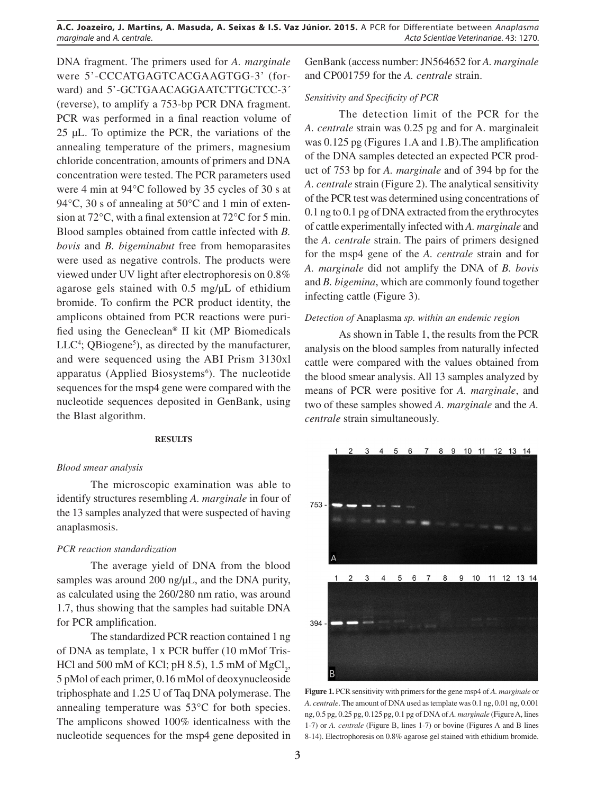DNA fragment. The primers used for *A. marginale* were 5'-CCCATGAGTCACGAAGTGG-3' (forward) and 5'-GCTGAACAGGAATCTTGCTCC-3<sup>\*</sup> (reverse), to amplify a 753-bp PCR DNA fragment. PCR was performed in a final reaction volume of 25 μL. To optimize the PCR, the variations of the annealing temperature of the primers, magnesium chloride concentration, amounts of primers and DNA concentration were tested. The PCR parameters used were 4 min at 94°C followed by 35 cycles of 30 s at 94°C, 30 s of annealing at 50°C and 1 min of extension at 72°C, with a final extension at 72°C for 5 min. Blood samples obtained from cattle infected with *B. bovis* and *B. bigeminabut* free from hemoparasites were used as negative controls. The products were viewed under UV light after electrophoresis on 0.8% agarose gels stained with 0.5 mg/μL of ethidium bromide. To confirm the PCR product identity, the amplicons obtained from PCR reactions were purified using the Geneclean® II kit (MP Biomedicals  $LLC<sup>4</sup>$ ; QBiogene<sup>5</sup>), as directed by the manufacturer, and were sequenced using the ABI Prism 3130xl apparatus (Applied Biosystems<sup>6</sup>). The nucleotide sequences for the msp4 gene were compared with the nucleotide sequences deposited in GenBank, using the Blast algorithm.

## **RESULTS**

#### *Blood smear analysis*

The microscopic examination was able to identify structures resembling *A. marginale* in four of the 13 samples analyzed that were suspected of having anaplasmosis.

#### *PCR reaction standardization*

The average yield of DNA from the blood samples was around 200 ng/μL, and the DNA purity, as calculated using the 260/280 nm ratio, was around 1.7, thus showing that the samples had suitable DNA for PCR amplification.

The standardized PCR reaction contained 1 ng of DNA as template, 1 x PCR buffer (10 mMof Tris-HCl and 500 mM of KCl; pH 8.5), 1.5 mM of  $MgCl_2$ , 5 pMol of each primer, 0.16 mMol of deoxynucleoside triphosphate and 1.25 U of Taq DNA polymerase. The annealing temperature was 53°C for both species. The amplicons showed 100% identicalness with the nucleotide sequences for the msp4 gene deposited in

GenBank (access number: JN564652 for *A. marginale*  and CP001759 for the *A. centrale* strain.

### *Sensitivity and Specificity of PCR*

The detection limit of the PCR for the *A. centrale* strain was 0.25 pg and for A. marginaleit was 0.125 pg (Figures 1.A and 1.B).The amplification of the DNA samples detected an expected PCR product of 753 bp for *A. marginale* and of 394 bp for the *A. centrale* strain (Figure 2). The analytical sensitivity of the PCR test was determined using concentrations of 0.1 ng to 0.1 pg of DNA extracted from the erythrocytes of cattle experimentally infected with *A. marginale* and the *A. centrale* strain. The pairs of primers designed for the msp4 gene of the *A. centrale* strain and for *A. marginale* did not amplify the DNA of *B. bovis* and *B. bigemina*, which are commonly found together infecting cattle (Figure 3).

### *Detection of* Anaplasma *sp. within an endemic region*

As shown in Table 1, the results from the PCR analysis on the blood samples from naturally infected cattle were compared with the values obtained from the blood smear analysis. All 13 samples analyzed by means of PCR were positive for *A. marginale*, and two of these samples showed *A. marginale* and the *A. centrale* strain simultaneously.



**Figure 1.** PCR sensitivity with primers for the gene msp4 of *A. marginale* or *A. centrale*. The amount of DNA used as template was 0.1 ng, 0.01 ng, 0.001 ng, 0.5 pg, 0.25 pg, 0.125 pg, 0.1 pg of DNA of *A. marginale* (Figure A, lines 1-7) or *A. centrale* (Figure B, lines 1-7) or bovine (Figures A and B lines 8-14). Electrophoresis on 0.8% agarose gel stained with ethidium bromide.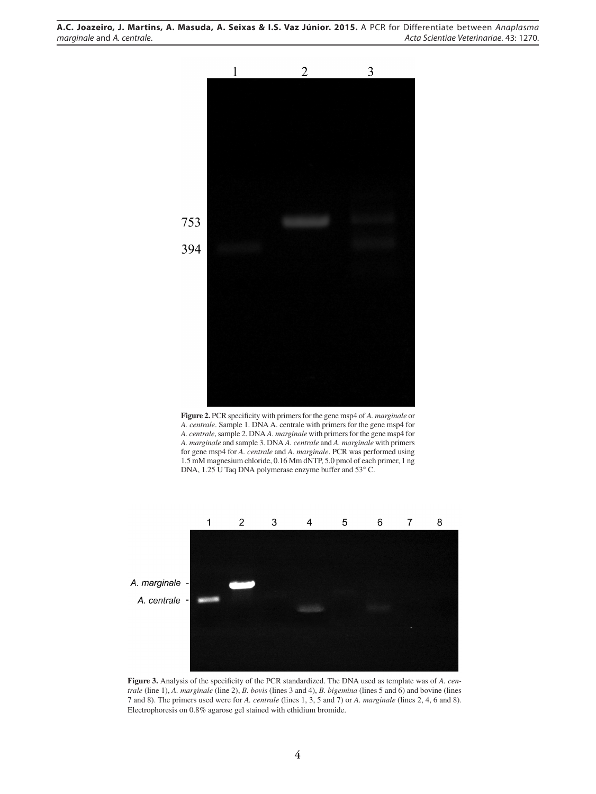**A.C. Joazeiro, J. Martins, A. Masuda, A. Seixas & I.S. Vaz Júnior. 2015.** A PCR for Differentiate between *Anaplasma marginale* and *A. centrale*. *Acta Scientiae Veterinariae*. 43: 1270.



**Figure 2.** PCR specificity with primers for the gene msp4 of *A. marginale* or *A. centrale*. Sample 1. DNA A. centrale with primers for the gene msp4 for *A. centrale*, sample 2. DNA *A. marginale* with primers for the gene msp4 for *A. marginale* and sample 3. DNA *A. centrale* and *A. marginale* with primers for gene msp4 for *A. centrale* and *A. marginale*. PCR was performed using 1.5 mM magnesium chloride, 0.16 Mm dNTP, 5.0 pmol of each primer, 1 ng DNA, 1.25 U Taq DNA polymerase enzyme buffer and 53° C.



**Figure 3.** Analysis of the specificity of the PCR standardized. The DNA used as template was of *A. centrale* (line 1), *A. marginale* (line 2), *B. bovis* (lines 3 and 4), *B. bigemina* (lines 5 and 6) and bovine (lines 7 and 8). The primers used were for *A. centrale* (lines 1, 3, 5 and 7) or *A. marginale* (lines 2, 4, 6 and 8). Electrophoresis on 0.8% agarose gel stained with ethidium bromide.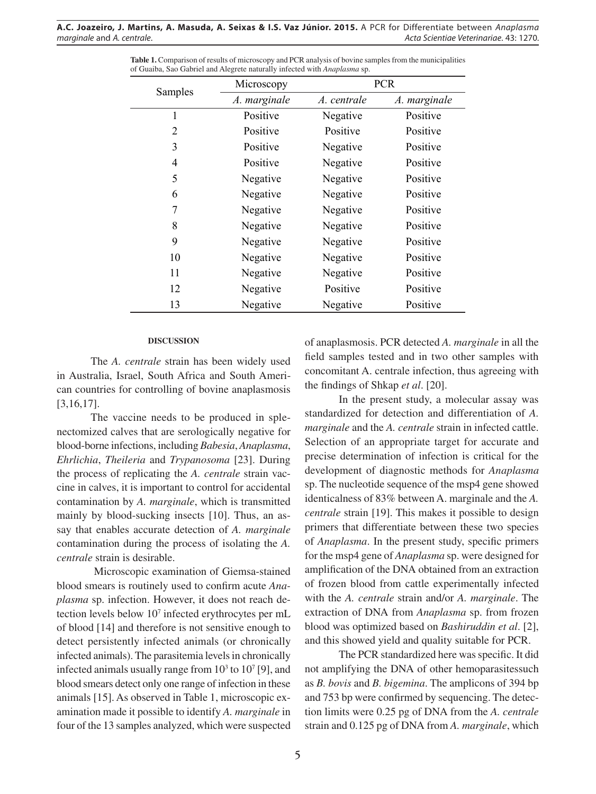| Samples | Microscopy   | <b>PCR</b>  |              |
|---------|--------------|-------------|--------------|
|         | A. marginale | A. centrale | A. marginale |
| 1       | Positive     | Negative    | Positive     |
| 2       | Positive     | Positive    | Positive     |
| 3       | Positive     | Negative    | Positive     |
| 4       | Positive     | Negative    | Positive     |
| 5       | Negative     | Negative    | Positive     |
| 6       | Negative     | Negative    | Positive     |
| 7       | Negative     | Negative    | Positive     |
| 8       | Negative     | Negative    | Positive     |
| 9       | Negative     | Negative    | Positive     |
| 10      | Negative     | Negative    | Positive     |
| 11      | Negative     | Negative    | Positive     |
| 12      | Negative     | Positive    | Positive     |
| 13      | Negative     | Negative    | Positive     |

**Table 1.** Comparison of results of microscopy and PCR analysis of bovine samples from the municipalities of Guaiba, Sao Gabriel and Alegrete naturally infected with *Anaplasma* sp.

#### **DISCUSSION**

The *A. centrale* strain has been widely used in Australia, Israel, South Africa and South American countries for controlling of bovine anaplasmosis [3,16,17].

The vaccine needs to be produced in splenectomized calves that are serologically negative for blood-borne infections, including *Babesia*, *Anaplasma*, *Ehrlichia*, *Theileria* and *Trypanosoma* [23]. During the process of replicating the *A. centrale* strain vaccine in calves, it is important to control for accidental contamination by *A. marginale*, which is transmitted mainly by blood-sucking insects [10]. Thus, an assay that enables accurate detection of *A. marginale*  contamination during the process of isolating the *A. centrale* strain is desirable.

 Microscopic examination of Giemsa-stained blood smears is routinely used to confirm acute *Anaplasma* sp. infection. However, it does not reach detection levels below 107 infected erythrocytes per mL of blood [14] and therefore is not sensitive enough to detect persistently infected animals (or chronically infected animals). The parasitemia levels in chronically infected animals usually range from  $10<sup>3</sup>$  to  $10<sup>7</sup>$  [9], and blood smears detect only one range of infection in these animals [15]. As observed in Table 1, microscopic examination made it possible to identify *A. marginale* in four of the 13 samples analyzed, which were suspected

of anaplasmosis. PCR detected *A. marginale* in all the field samples tested and in two other samples with concomitant A. centrale infection, thus agreeing with the findings of Shkap *et al*. [20].

In the present study, a molecular assay was standardized for detection and differentiation of *A. marginale* and the *A. centrale* strain in infected cattle. Selection of an appropriate target for accurate and precise determination of infection is critical for the development of diagnostic methods for *Anaplasma* sp. The nucleotide sequence of the msp4 gene showed identicalness of 83% between A. marginale and the *A. centrale* strain [19]. This makes it possible to design primers that differentiate between these two species of *Anaplasma*. In the present study, specific primers for the msp4 gene of *Anaplasma* sp. were designed for amplification of the DNA obtained from an extraction of frozen blood from cattle experimentally infected with the *A. centrale* strain and/or *A. marginale*. The extraction of DNA from *Anaplasma* sp. from frozen blood was optimized based on *Bashiruddin et al*. [2], and this showed yield and quality suitable for PCR.

The PCR standardized here was specific. It did not amplifying the DNA of other hemoparasitessuch as *B. bovis* and *B. bigemina*. The amplicons of 394 bp and 753 bp were confirmed by sequencing. The detection limits were 0.25 pg of DNA from the *A. centrale*  strain and 0.125 pg of DNA from *A. marginale*, which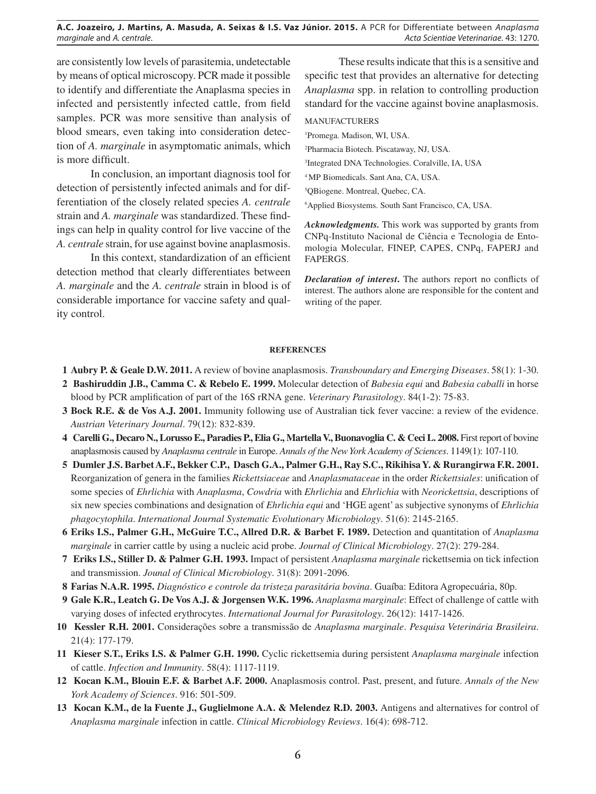# **A.C. Joazeiro, J. Martins, A. Masuda, A. Seixas & I.S. Vaz Júnior. 2015.** A PCR for Differentiate between *Anaplasma marginale* and *A. centrale*. *Acta Scientiae Veterinariae*. 43: 1270.

are consistently low levels of parasitemia, undetectable by means of optical microscopy. PCR made it possible to identify and differentiate the Anaplasma species in infected and persistently infected cattle, from field samples. PCR was more sensitive than analysis of blood smears, even taking into consideration detection of *A. marginale* in asymptomatic animals, which is more difficult.

In conclusion, an important diagnosis tool for detection of persistently infected animals and for differentiation of the closely related species *A. centrale*  strain and *A. marginale* was standardized. These findings can help in quality control for live vaccine of the *A. centrale* strain, for use against bovine anaplasmosis.

In this context, standardization of an efficient detection method that clearly differentiates between *A. marginale* and the *A. centrale* strain in blood is of considerable importance for vaccine safety and quality control.

These results indicate that this is a sensitive and specific test that provides an alternative for detecting *Anaplasma* spp. in relation to controlling production standard for the vaccine against bovine anaplasmosis.

MANUFACTURERS

1 Promega. Madison, WI, USA.

2 Pharmacia Biotech. Piscataway, NJ, USA.

3 Integrated DNA Technologies. Coralville, IA, USA

4 MP Biomedicals. Sant Ana, CA, USA.

5 QBiogene. Montreal, Quebec, CA.

6 Applied Biosystems. South Sant Francisco, CA, USA.

*Acknowledgments.* This work was supported by grants from CNPq-Instituto Nacional de Ciência e Tecnologia de Entomologia Molecular, FINEP, CAPES, CNPq, FAPERJ and FAPERGS.

*Declaration of interest***.** The authors report no conflicts of interest. The authors alone are responsible for the content and writing of the paper.

### **REFERENCES**

- **1 Aubry P. & Geale D.W. 2011.** A review of bovine anaplasmosis. *Transboundary and Emerging Diseases*. 58(1): 1-30.
- **2 Bashiruddin J.B., Camma C. & Rebelo E. 1999.** Molecular detection of *Babesia equi* and *Babesia caballi* in horse blood by PCR amplification of part of the 16S rRNA gene. *Veterinary Parasitology*. 84(1-2): 75-83.
- **3 Bock R.E. & de Vos A.J. 2001.** Immunity following use of Australian tick fever vaccine: a review of the evidence. *Austrian Veterinary Journal*. 79(12): 832-839.
- **4 Carelli G., Decaro N., Lorusso E., Paradies P., Elia G., Martella V., Buonavoglia C. & Ceci L. 2008.** First report of bovine anaplasmosis caused by *Anaplasma centrale* in Europe. *Annals of the New York Academy of Sciences*. 1149(1): 107-110.
- **5 Dumler J.S. Barbet A.F., Bekker C.P., Dasch G.A., Palmer G.H., Ray S.C., Rikihisa Y. & Rurangirwa F.R. 2001.** Reorganization of genera in the families *Rickettsiaceae* and *Anaplasmataceae* in the order *Rickettsiales*: unification of some species of *Ehrlichia* with *Anaplasma*, *Cowdria* with *Ehrlichia* and *Ehrlichia* with *Neorickettsia*, descriptions of six new species combinations and designation of *Ehrlichia equi* and 'HGE agent' as subjective synonyms of *Ehrlichia phagocytophila*. *International Journal Systematic Evolutionary Microbiology*. 51(6): 2145-2165.
- **6 Eriks I.S., Palmer G.H., McGuire T.C., Allred D.R. & Barbet F. 1989.** Detection and quantitation of *Anaplasma marginale* in carrier cattle by using a nucleic acid probe. *Journal of Clinical Microbiology*. 27(2): 279-284.
- **7 Eriks I.S., Stiller D. & Palmer G.H. 1993.** Impact of persistent *Anaplasma marginale* rickettsemia on tick infection and transmission. *Jounal of Clinical Microbiology*. 31(8): 2091-2096.
- **8 Farias N.A.R. 1995.** *Diagnóstico e controle da tristeza parasitária bovina*. Guaíba: Editora Agropecuária, 80p.
- **9 Gale K.R., Leatch G. De Vos A.J. & Jorgensen W.K. 1996.** *Anaplasma marginale*: Effect of challenge of cattle with varying doses of infected erythrocytes. *International Journal for Parasitology*. 26(12): 1417-1426.
- **10 Kessler R.H. 2001.** Considerações sobre a transmissão de *Anaplasma marginale*. *Pesquisa Veterinária Brasileira*. 21(4): 177-179.
- **11 Kieser S.T., Eriks I.S. & Palmer G.H. 1990.** Cyclic rickettsemia during persistent *Anaplasma marginale* infection of cattle. *Infection and Immunity*. 58(4): 1117-1119.
- **12 Kocan K.M., Blouin E.F. & Barbet A.F. 2000.** Anaplasmosis control. Past, present, and future. *Annals of the New York Academy of Sciences*. 916: 501-509.
- 13 Kocan K.M., de la Fuente J., Guglielmone A.A. & Melendez R.D. 2003. Antigens and alternatives for control of *Anaplasma marginale* infection in cattle. *Clinical Microbiology Reviews*. 16(4): 698-712.